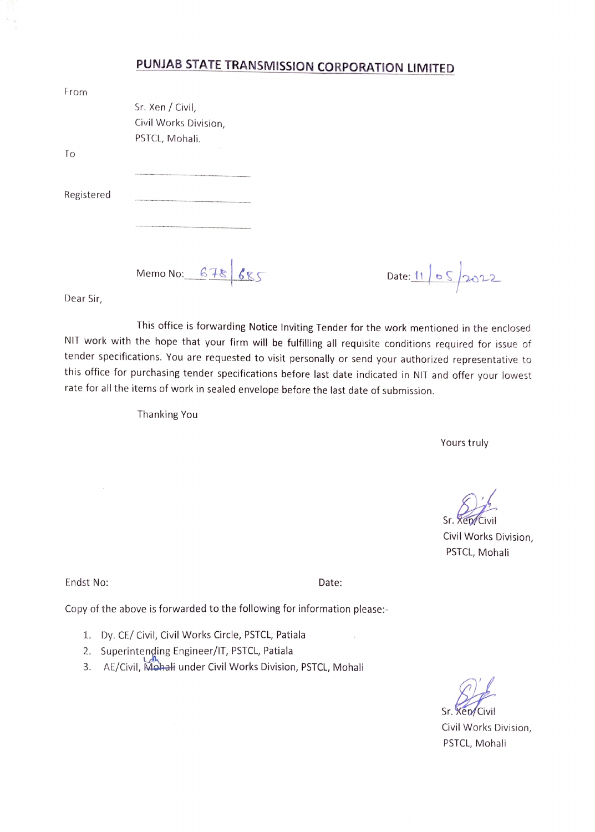## PUNJAB STATE TRANSMISSION CORPORATION LIMITED

| From       |                       |  |  |
|------------|-----------------------|--|--|
|            | Sr. Xen / Civil,      |  |  |
|            | Civil Works Division, |  |  |
|            | PSTCL, Mohali.        |  |  |
| Τo         |                       |  |  |
|            |                       |  |  |
| Registered |                       |  |  |
|            |                       |  |  |
|            |                       |  |  |
|            | Memo No: $678$        |  |  |

 $685$  Date: 11 05 2022

Dear Sir,

This office is forwarding Notice Inviting Tender for the work mentioned in the enclosed NIT work with the hope that your firm will be fulfilling all requisite conditions required for issue of tender specifications. You are requested to visit personally or send your authorized representative to this office for purchasing tender specifications before last date indicated in NIT and offer your lowest rate for all the items of work in sealed envelope before the last date of submission.

Thanking You

Yours truly

Sr. Xep/Civil

Civil Works Division, PSTCL, Mohali

Endst No: Date:

 $\mathcal{A}$ 

Copy of the above is forwarded to the following for information please:

- 1. Dy. CE/ Civil, Civil Works Circle, PSTCL, Patiala
- 2. Superintenging Engineer/1T, PSTCL, Patiala
- 3. AE/Civil, Mohali under Civil Works Division, PSTCL, Mohali

Sr. Xen/Civil

Civil Works Division, PSTCL, Mohali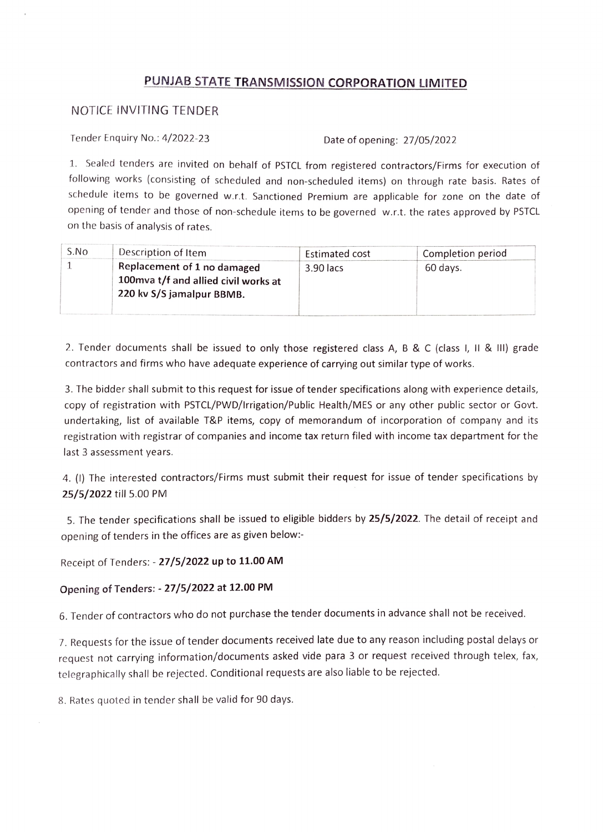## PUNJAB STATE TRANSMISSION CORPORATION LIMITED

## NOTICE INVITING TENDER

Tender Enquiry No.: 4/2022-23 Date of opening: 27/05/2022

1. Sealed tenders are invited on behalf of PSTCL from registered contractors/Firms for execution of following works (consisting of scheduled and non-scheduled items) on through rate basis. Rates of schedule items to be governed w.r.t. Sanctioned Premium are applicable for zone on the date of opening of tender and those of non-schedule items to be governed w.r.t. the rates approved by PSTCL on the basis of analysis of rates.

| S.No | Description of Item                                                                              | Estimated cost | Completion period |
|------|--------------------------------------------------------------------------------------------------|----------------|-------------------|
|      | Replacement of 1 no damaged<br>100mva t/f and allied civil works at<br>220 kv S/S jamalpur BBMB. | 3.90 lacs      | 60 days.          |

2. Tender documents shall be issued to only those registered class A, B & C (class I, II & III) grade contractors and firms who have adequate experience of carrying out similar type of works

3. The bidder shall submit to this request for issue of tender specifications along with experience details, copy of registration with PSTCL/PWD/Irrigation/Public Health/MES or any other public sector or Govt. undertaking, list of available T&P items, copy of memorandum of incorporation of company and its registration with registrar of companies and income tax return filed with income tax department for the last 3 assessment years.

4. (1) The interested contractors/Firms must submit their request for issue of tender specifications by 25/5/2022 till 5.00 PM

5. The tender specifications shall be issued to eligible bidders by 25/5/2022. The detail of receipt and opening of tenders in the offices are as given below:-

Receipt of Tenders: - 27/5/2022 up to 11.00 AM

## Opening of Tenders: - 27/5/2022 at 12.00 PM

6. Tender of contractors who do not purchase the tender documents in advance shall not be received.

7. Requests for the issue of tender documents received late due to any reason including postal delays or request not carrying information/documents asked vide para 3 or request received through telex, fax, tclegraphically shall be rejected. Conditional requests are also liable to be rejected.

8. Rates quoted in tender shall be valid for 90 days.